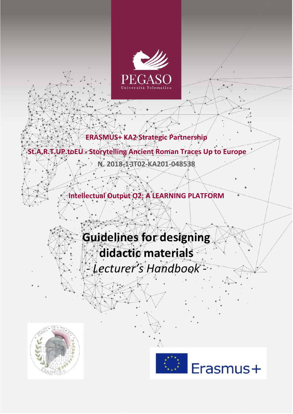

**ERASMUS+ KA2 Strategic Partnership**

# **St.A.R.T.UP.toEU - Storytelling Ancient Roman Traces Up to Europe**

**N. 2018-1-IT02-KA201-048538**

**Intellectual Output O2: A LEARNING PLATFORM**

# **Guidelines for designing didactic materials**

*- Lecturer's Handbook -*



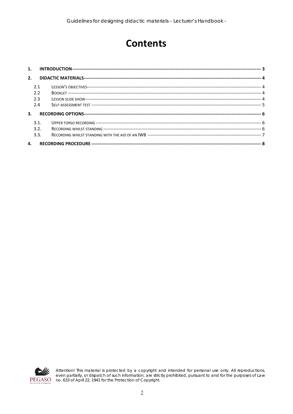# **Contents**

| 1. |      |  |  |  |  |  |
|----|------|--|--|--|--|--|
| 2. |      |  |  |  |  |  |
|    | 21   |  |  |  |  |  |
|    | 2.2  |  |  |  |  |  |
|    | 2.3  |  |  |  |  |  |
|    | 2.4  |  |  |  |  |  |
| 3. |      |  |  |  |  |  |
|    | 3.1. |  |  |  |  |  |
|    | 3.2. |  |  |  |  |  |
|    | 3.3. |  |  |  |  |  |
| 4. |      |  |  |  |  |  |



Attention! This material is protected by a copyright and intended for personal use only. All reproductions,<br>even partially, or dispatch of such information, are strictly prohibited, pursuant to and for the purposes of Law<br>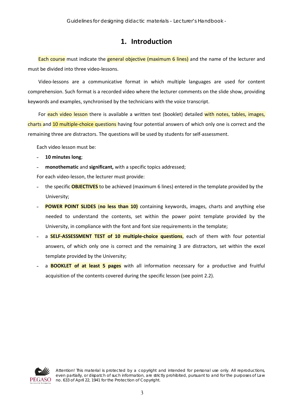### **1. Introduction**

<span id="page-2-0"></span>Each course must indicate the general objective (maximum 6 lines) and the name of the lecturer and must be divided into three video-lessons.

Video-lessons are a communicative format in which multiple languages are used for content comprehension. Such format is a recorded video where the lecturer comments on the slide show, providing keywords and examples, synchronised by the technicians with the voice transcript.

For each video lesson there is available a written text (booklet) detailed with notes, tables, images, charts and 10 multiple-choice questions having four potential answers of which only one is correct and the remaining three are distractors. The questions will be used by students for self-assessment.

Each video lesson must be:

- ˗ **10 minutes long**;
- ˗ **monothematic** and **significant,** with a specific topics addressed;

For each video-lesson, the lecturer must provide:

- ˗ the specific **OBJECTIVES** to be achieved (maximum 6 lines) entered in the template provided by the University;
- **POWER POINT SLIDES (no less than 10)** containing keywords, images, charts and anything else needed to understand the contents, set within the power point template provided by the University, in compliance with the font and font size requirements in the template;
- a **SELF-ASSESSMENT TEST of 10 multiple-choice questions**, each of them with four potential answers, of which only one is correct and the remaining 3 are distractors, set within the excel template provided by the University;
- ˗ a **BOOKLET of at least 5 pages** with all information necessary for a productive and fruitful acquisition of the contents covered during the specific lesson (see point 2.2).

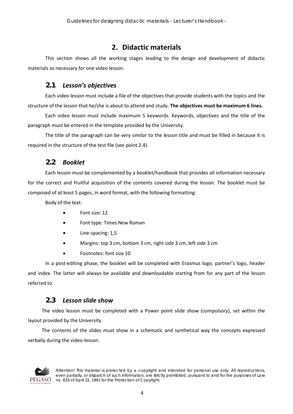## **2. Didactic materials**

<span id="page-3-0"></span>This section shows all the working stages leading to the design and development of didactic materials as necessary for one video lesson.

#### **2.1** *Lesson's objectives*

<span id="page-3-1"></span>Each video lesson must include a file of the objectives that provide students with the topics and the structure of the lesson that he/she is about to attend and study. **The objectives must be maximum 6 lines.**

Each video lesson must include maximum 5 keywords. Keywords, objectives and the title of the paragraph must be entered in the template provided by the University.

The title of the paragraph can be very similar to the lesson title and must be filled in because it is required in the structure of the test file (see point 2.4).

#### **2.2** *Booklet*

<span id="page-3-2"></span>Each lesson must be complemented by a booklet/handbook that provides all information necessary for the correct and fruitful acquisition of the contents covered during the lesson. The booklet must be composed of at least 5 pages, in word format, with the following formatting:

Body of the text:

- Font size: 12
- Font type: Times New Roman
- Line-spacing: 1,5
- Margins: top 3 cm, bottom 3 cm, right side 3 cm, left side 3 cm
- Footnotes: font size 10

In a post-editing phase, the booklet will be completed with Erasmus logo, partner's logo, header and index. The latter will always be available and downloadable starting from for any part of the lesson referred to.

#### **2.3** *Lesson slide show*

<span id="page-3-3"></span>The video lesson must be completed with a Power point slide show (compulsory), set within the layout provided by the University.

The contents of the slides must show in a schematic and synthetical way the concepts expressed verbally during the video-lesson.



*Attention! This material is protected by a copyright and intended for personal use only. All reproductions, even partially, or dispatch of such information, are strictly prohibited, pursuant to and for the purposes of Law no. 633 of April 22, 1941 for the Protection of Copyright.*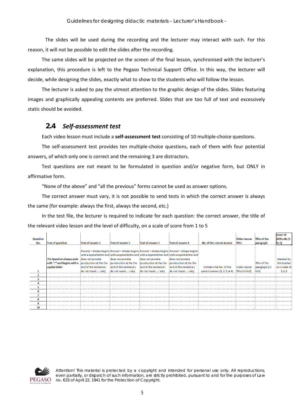The slides will be used during the recording and the lecturer may interact with such. For this reason, it will not be possible to edit the slides after the recording.

The same slides will be projected on the screen of the final lesson, synchronised with the lecturer's explanation, this procedure is left to the Pegaso Technical Support Office. In this way, the lecturer will decide, while designing the slides, exactly what to show to the students who will follow the lesson.

The lecturer is asked to pay the utmost attention to the graphic design of the slides. Slides featuring images and graphically appealing contents are preferred. Slides that are too full of text and excessively static should be avoided.

#### <span id="page-4-0"></span>**2.4** *Self-assessment test*

Each video lesson must include a **self-assessment test** consisting of 10 multiple-choice questions.

The self-assessment test provides ten multiple-choice questions, each of them with four potential answers, of which only one is correct and the remaining 3 are distractors.

Test questions are not meant to be formulated in question and/or negative form, but ONLY in affirmative form.

"None of the above" and "all the previous" forms cannot be used as answer options.

The correct answer must vary, it is not possible to send tests in which the correct answer is always the same (for example: always the first, always the second, etc.)

In the test file, the lecturer is required to indicate for each question: the correct answer, the title of the relevant video lesson and the level of difficulty, on a scale of score from 1 to 5

|          |                                                                                                                        |                                                     |                                                                                                |                          |                                                                                                         |                                                     |                     |                     | Level of      |
|----------|------------------------------------------------------------------------------------------------------------------------|-----------------------------------------------------|------------------------------------------------------------------------------------------------|--------------------------|---------------------------------------------------------------------------------------------------------|-----------------------------------------------------|---------------------|---------------------|---------------|
| Question |                                                                                                                        |                                                     |                                                                                                |                          |                                                                                                         |                                                     | <b>Video lesson</b> | <b>Title of the</b> | difficulty (1 |
| No.      | <b>Text of question</b>                                                                                                | <b>Text of answer 1</b>                             | <b>Text of answer 2</b>                                                                        | <b>Text of answer 3</b>  | <b>Text of answer 4</b>                                                                                 | No. of the correct answer                           | <b>Title</b>        | paragraph           | to 5)         |
|          |                                                                                                                        |                                                     |                                                                                                |                          |                                                                                                         |                                                     |                     |                     |               |
|          |                                                                                                                        |                                                     |                                                                                                |                          | : Answer - always begins : Answer - always begins : Answer - always begins : Answer - always begins :   |                                                     |                     |                     |               |
|          |                                                                                                                        |                                                     |                                                                                                |                          | with a capital letter and with a capital letter and with a capital letter and with a capital letter and |                                                     |                     |                     |               |
|          | The Question always ends idoes not provide                                                                             |                                                     | does not provide does not provide                                                              |                          | does not provide                                                                                        |                                                     |                     |                     | Decided by    |
|          | with ":" and begins with a punctuation at the the punctuation at the the punctuation at the the punctuation at the the |                                                     |                                                                                                |                          |                                                                                                         |                                                     |                     | Title of the        | the teacher   |
|          | capital letter                                                                                                         |                                                     | :end of the sentence (: :end of the sentence (: :end of the sentence (: :end of the sentence ( |                          |                                                                                                         | Contains the No. of the                             | Video lesson        | paragraph (in       | on a scale of |
|          |                                                                                                                        | : do not insert . ; : etc) do not insert . ; : etc) |                                                                                                | do not insert . ; : etc) | do not insert . ; : etc)                                                                                | : correct answer $(1, 2, 3$ or 4) : Title (in full) |                     |                     | 1 to 5        |
|          |                                                                                                                        |                                                     |                                                                                                |                          |                                                                                                         |                                                     |                     |                     |               |
|          |                                                                                                                        |                                                     |                                                                                                |                          |                                                                                                         |                                                     |                     |                     |               |
|          |                                                                                                                        |                                                     |                                                                                                |                          |                                                                                                         |                                                     |                     |                     |               |
|          |                                                                                                                        |                                                     |                                                                                                |                          |                                                                                                         |                                                     |                     |                     |               |
|          |                                                                                                                        |                                                     |                                                                                                |                          |                                                                                                         |                                                     |                     |                     |               |
|          |                                                                                                                        |                                                     |                                                                                                |                          |                                                                                                         |                                                     |                     |                     |               |
|          |                                                                                                                        |                                                     |                                                                                                |                          |                                                                                                         |                                                     |                     |                     |               |
|          |                                                                                                                        |                                                     |                                                                                                |                          |                                                                                                         |                                                     |                     |                     |               |
| 10       |                                                                                                                        |                                                     |                                                                                                |                          |                                                                                                         |                                                     |                     |                     |               |

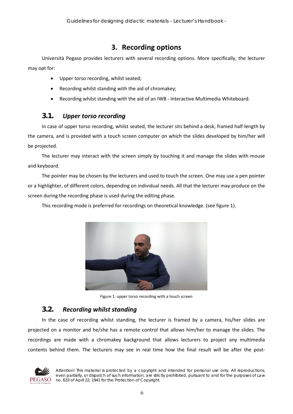# **3. Recording options**

<span id="page-5-0"></span>Università Pegaso provides lecturers with several recording options. More specifically, the lecturer may opt for:

- Upper torso recording, whilst seated;
- Recording whilst standing with the aid of chromakey;
- Recording whilst standing with the aid of an IWB Interactive Multimedia Whiteboard.

#### <span id="page-5-1"></span>**3.1.** *Upper torso recording*

In case of upper torso recording, whilst seated, the lecturer sits behind a desk, framed half-length by the camera, and is provided with a touch screen computer on which the slides developed by him/her will be projected.

The lecturer may interact with the screen simply by touching it and manage the slides with mouse and keyboard.

The pointer may be chosen by the lecturers and used to touch the screen. One may use a pen pointer or a highlighter, of different colors, depending on individual needs. All that the lecturer may produce on the screen during the recording phase is used during the editing phase.

This recording mode is preferred for recordings on theoretical knowledge. (see figure 1).



Figure 1: upper torso recording with a touch screen

#### **3.2.** *Recording whilst standing*

<span id="page-5-2"></span>In the case of recording whilst standing, the lecturer is framed by a camera, his/her slides are projected on a monitor and he/she has a remote control that allows him/her to manage the slides. The recordings are made with a chromakey background that allows lecturers to project any multimedia contents behind them. The lecturers may see in real time how the final result will be after the post-

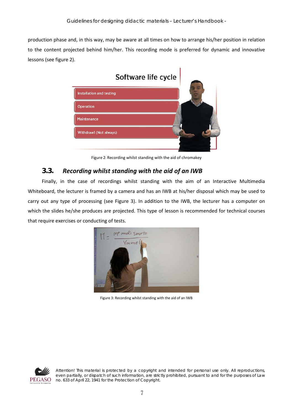production phase and, in this way, may be aware at all times on how to arrange his/her position in relation to the content projected behind him/her. This recording mode is preferred for dynamic and innovative lessons (see figure 2).



Figure 2: Recording whilst standing with the aid of chromakey

#### **3.3.** *Recording whilst standing with the aid of an IWB*

<span id="page-6-0"></span>Finally, in the case of recordings whilst standing with the aim of an Interactive Multimedia Whiteboard, the lecturer is framed by a camera and has an IWB at his/her disposal which may be used to carry out any type of processing (see Figure 3). In addition to the IWB, the lecturer has a computer on which the slides he/she produces are projected. This type of lesson is recommended for technical courses that require exercises or conducting of tests.



Figure 3: Recording whilst standing with the aid of an IWB

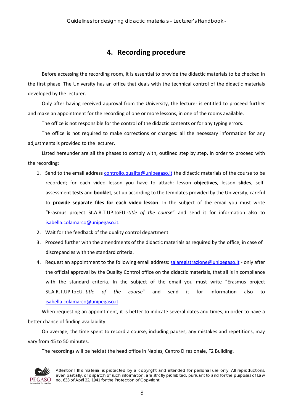# **4. Recording procedure**

<span id="page-7-0"></span>Before accessing the recording room, it is essential to provide the didactic materials to be checked in the first phase. The University has an office that deals with the technical control of the didactic materials developed by the lecturer.

Only after having received approval from the University, the lecturer is entitled to proceed further and make an appointment for the recording of one or more lessons, in one of the rooms available.

The office is not responsible for the control of the didactic contents or for any typing errors.

The office is not required to make corrections or changes: all the necessary information for any adjustments is provided to the lecturer.

Listed hereunder are all the phases to comply with, outlined step by step, in order to proceed with the recording:

- 1. Send to the email address controllo.qualita@unipegaso.it the didactic materials of the course to be recorded; for each video lesson you have to attach: lesson **objectives**, lesson **slides**, selfassessment **tests** and **booklet**, set up according to the templates provided by the University, careful to **provide separate files for each video lesson**. In the subject of the email you must write "Erasmus project St.A.R.T.UP.toEU.-*title of the course*" and send it for information also to isabella.colamarco@unipegaso.it.
- 2. Wait for the feedback of the quality control department.
- 3. Proceed further with the amendments of the didactic materials as required by the office, in case of discrepancies with the standard criteria.
- 4. Request an appointment to the following email address: salaregistrazione@unipegaso.it only after the official approval by the Quality Control office on the didactic materials, that all is in compliance with the standard criteria. In the subject of the email you must write "Erasmus project St.A.R.T.UP.toEU.-*title of the course*" and send it for information also to isabella.colamarco@unipegaso.it.

When requesting an appointment, it is better to indicate several dates and times, in order to have a better chance of finding availability.

On average, the time spent to record a course, including pauses, any mistakes and repetitions, may vary from 45 to 50 minutes.

The recordings will be held at the head office in Naples, Centro Direzionale, F2 Building.